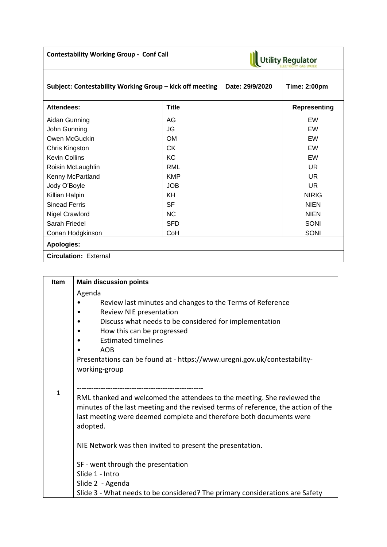| <b>Contestability Working Group - Conf Call</b>          |              | <b>Utility Regulator</b> |                     |  |
|----------------------------------------------------------|--------------|--------------------------|---------------------|--|
| Subject: Contestability Working Group - kick off meeting |              | Date: 29/9/2020          | <b>Time: 2:00pm</b> |  |
| <b>Attendees:</b>                                        | <b>Title</b> |                          | <b>Representing</b> |  |
| Aidan Gunning                                            | AG           |                          | EW                  |  |
| John Gunning                                             | <b>JG</b>    |                          | EW                  |  |
| Owen McGuckin                                            | <b>OM</b>    |                          | EW                  |  |
| Chris Kingston                                           | CK           |                          | EW                  |  |
| <b>Kevin Collins</b>                                     | KC.          |                          | EW                  |  |
| Roisin McLaughlin                                        | RML          |                          | UR                  |  |
| Kenny McPartland                                         | <b>KMP</b>   |                          | <b>UR</b>           |  |
| Jody O'Boyle                                             | <b>JOB</b>   |                          | UR                  |  |
| Killian Halpin                                           | KH           |                          | <b>NIRIG</b>        |  |
| <b>Sinead Ferris</b>                                     | <b>SF</b>    |                          | <b>NIEN</b>         |  |
| Nigel Crawford                                           | <b>NC</b>    |                          | <b>NIEN</b>         |  |
| Sarah Friedel                                            | <b>SFD</b>   |                          | <b>SONI</b>         |  |
| Conan Hodgkinson                                         | CoH          |                          | <b>SONI</b>         |  |
| <b>Apologies:</b>                                        |              |                          |                     |  |
| <b>Circulation: External</b>                             |              |                          |                     |  |

| Item | <b>Main discussion points</b>                                                                                                                                                                                                                   |  |  |
|------|-------------------------------------------------------------------------------------------------------------------------------------------------------------------------------------------------------------------------------------------------|--|--|
|      | Agenda                                                                                                                                                                                                                                          |  |  |
|      | Review last minutes and changes to the Terms of Reference                                                                                                                                                                                       |  |  |
|      | Review NIE presentation                                                                                                                                                                                                                         |  |  |
|      | Discuss what needs to be considered for implementation                                                                                                                                                                                          |  |  |
|      | How this can be progressed                                                                                                                                                                                                                      |  |  |
|      | <b>Estimated timelines</b>                                                                                                                                                                                                                      |  |  |
|      | <b>AOB</b>                                                                                                                                                                                                                                      |  |  |
|      | Presentations can be found at - https://www.uregni.gov.uk/contestability-                                                                                                                                                                       |  |  |
|      | working-group                                                                                                                                                                                                                                   |  |  |
|      |                                                                                                                                                                                                                                                 |  |  |
| 1    | RML thanked and welcomed the attendees to the meeting. She reviewed the<br>minutes of the last meeting and the revised terms of reference, the action of the<br>last meeting were deemed complete and therefore both documents were<br>adopted. |  |  |
|      | NIE Network was then invited to present the presentation.                                                                                                                                                                                       |  |  |
|      | SF - went through the presentation                                                                                                                                                                                                              |  |  |
|      | Slide 1 - Intro                                                                                                                                                                                                                                 |  |  |
|      | Slide 2 - Agenda                                                                                                                                                                                                                                |  |  |
|      | Slide 3 - What needs to be considered? The primary considerations are Safety                                                                                                                                                                    |  |  |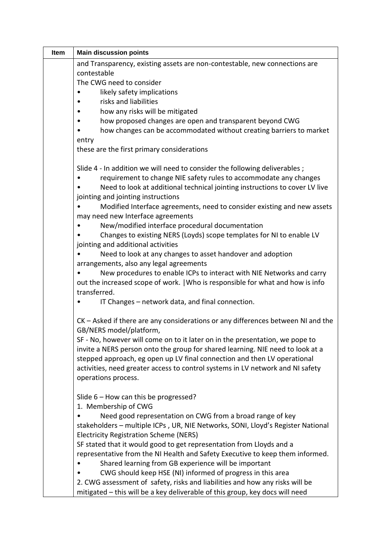| Item | <b>Main discussion points</b>                                                    |  |
|------|----------------------------------------------------------------------------------|--|
|      | and Transparency, existing assets are non-contestable, new connections are       |  |
|      | contestable                                                                      |  |
|      | The CWG need to consider                                                         |  |
|      | likely safety implications                                                       |  |
|      | risks and liabilities                                                            |  |
|      | how any risks will be mitigated                                                  |  |
|      | how proposed changes are open and transparent beyond CWG                         |  |
|      | how changes can be accommodated without creating barriers to market              |  |
|      | entry                                                                            |  |
|      | these are the first primary considerations                                       |  |
|      | Slide 4 - In addition we will need to consider the following deliverables;       |  |
|      | requirement to change NIE safety rules to accommodate any changes                |  |
|      | Need to look at additional technical jointing instructions to cover LV live      |  |
|      | jointing and jointing instructions                                               |  |
|      | Modified Interface agreements, need to consider existing and new assets          |  |
|      | may need new Interface agreements                                                |  |
|      | New/modified interface procedural documentation                                  |  |
|      | Changes to existing NERS (Loyds) scope templates for NI to enable LV             |  |
|      | jointing and additional activities                                               |  |
|      | Need to look at any changes to asset handover and adoption                       |  |
|      | arrangements, also any legal agreements                                          |  |
|      | New procedures to enable ICPs to interact with NIE Networks and carry            |  |
|      | out the increased scope of work.   Who is responsible for what and how is info   |  |
|      | transferred.                                                                     |  |
|      | IT Changes - network data, and final connection.                                 |  |
|      | CK – Asked if there are any considerations or any differences between NI and the |  |
|      | GB/NERS model/platform,                                                          |  |
|      | SF - No, however will come on to it later on in the presentation, we pope to     |  |
|      | invite a NERS person onto the group for shared learning. NIE need to look at a   |  |
|      | stepped approach, eg open up LV final connection and then LV operational         |  |
|      | activities, need greater access to control systems in LV network and NI safety   |  |
|      | operations process.                                                              |  |
|      | Slide $6$ – How can this be progressed?                                          |  |
|      | 1. Membership of CWG                                                             |  |
|      | Need good representation on CWG from a broad range of key                        |  |
|      | stakeholders - multiple ICPs, UR, NIE Networks, SONI, Lloyd's Register National  |  |
|      | <b>Electricity Registration Scheme (NERS)</b>                                    |  |
|      | SF stated that it would good to get representation from Lloyds and a             |  |
|      | representative from the NI Health and Safety Executive to keep them informed.    |  |
|      | Shared learning from GB experience will be important                             |  |
|      | CWG should keep HSE (NI) informed of progress in this area                       |  |
|      | 2. CWG assessment of safety, risks and liabilities and how any risks will be     |  |
|      | mitigated - this will be a key deliverable of this group, key docs will need     |  |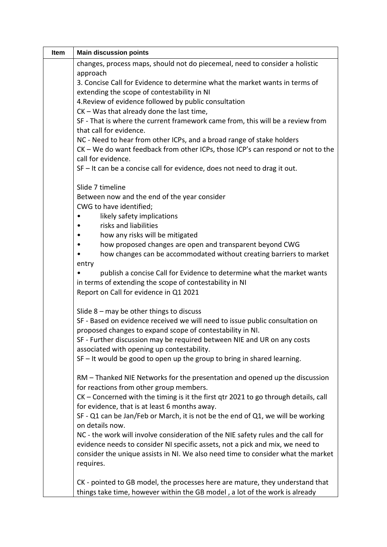| Item | <b>Main discussion points</b>                                                       |
|------|-------------------------------------------------------------------------------------|
|      | changes, process maps, should not do piecemeal, need to consider a holistic         |
|      | approach                                                                            |
|      | 3. Concise Call for Evidence to determine what the market wants in terms of         |
|      | extending the scope of contestability in NI                                         |
|      | 4. Review of evidence followed by public consultation                               |
|      | CK - Was that already done the last time,                                           |
|      | SF - That is where the current framework came from, this will be a review from      |
|      | that call for evidence.                                                             |
|      | NC - Need to hear from other ICPs, and a broad range of stake holders               |
|      | CK - We do want feedback from other ICPs, those ICP's can respond or not to the     |
|      | call for evidence.                                                                  |
|      | $SF - It$ can be a concise call for evidence, does not need to drag it out.         |
|      | Slide 7 timeline                                                                    |
|      | Between now and the end of the year consider<br>CWG to have identified;             |
|      | likely safety implications                                                          |
|      | risks and liabilities                                                               |
|      | how any risks will be mitigated                                                     |
|      | how proposed changes are open and transparent beyond CWG                            |
|      | how changes can be accommodated without creating barriers to market                 |
|      | entry                                                                               |
|      | publish a concise Call for Evidence to determine what the market wants              |
|      | in terms of extending the scope of contestability in NI                             |
|      | Report on Call for evidence in Q1 2021                                              |
|      | Slide $8$ – may be other things to discuss                                          |
|      | SF - Based on evidence received we will need to issue public consultation on        |
|      | proposed changes to expand scope of contestability in NI.                           |
|      | SF - Further discussion may be required between NIE and UR on any costs             |
|      | associated with opening up contestability.                                          |
|      | SF - It would be good to open up the group to bring in shared learning.             |
|      | RM - Thanked NIE Networks for the presentation and opened up the discussion         |
|      | for reactions from other group members.                                             |
|      | CK – Concerned with the timing is it the first qtr 2021 to go through details, call |
|      | for evidence, that is at least 6 months away.                                       |
|      | SF - Q1 can be Jan/Feb or March, it is not be the end of Q1, we will be working     |
|      | on details now.                                                                     |
|      | NC - the work will involve consideration of the NIE safety rules and the call for   |
|      | evidence needs to consider NI specific assets, not a pick and mix, we need to       |
|      | consider the unique assists in NI. We also need time to consider what the market    |
|      | requires.                                                                           |
|      |                                                                                     |
|      | CK - pointed to GB model, the processes here are mature, they understand that       |
|      | things take time, however within the GB model, a lot of the work is already         |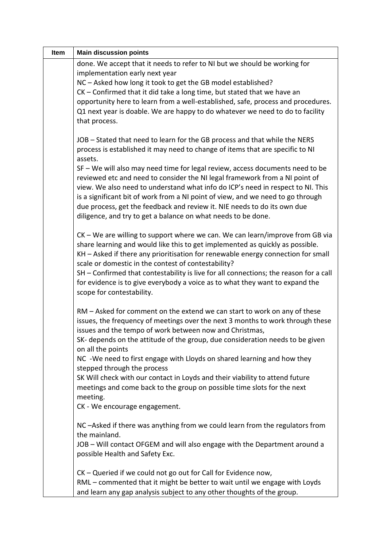| Item | <b>Main discussion points</b>                                                                                                                                                                                                                                                                             |  |
|------|-----------------------------------------------------------------------------------------------------------------------------------------------------------------------------------------------------------------------------------------------------------------------------------------------------------|--|
|      | done. We accept that it needs to refer to NI but we should be working for                                                                                                                                                                                                                                 |  |
|      | implementation early next year                                                                                                                                                                                                                                                                            |  |
|      | NC - Asked how long it took to get the GB model established?<br>$CK$ – Confirmed that it did take a long time, but stated that we have an                                                                                                                                                                 |  |
|      | opportunity here to learn from a well-established, safe, process and procedures.                                                                                                                                                                                                                          |  |
|      | Q1 next year is doable. We are happy to do whatever we need to do to facility                                                                                                                                                                                                                             |  |
|      | that process.                                                                                                                                                                                                                                                                                             |  |
|      | JOB - Stated that need to learn for the GB process and that while the NERS<br>process is established it may need to change of items that are specific to NI<br>assets.                                                                                                                                    |  |
|      | SF - We will also may need time for legal review, access documents need to be                                                                                                                                                                                                                             |  |
|      | reviewed etc and need to consider the NI legal framework from a NI point of                                                                                                                                                                                                                               |  |
|      | view. We also need to understand what info do ICP's need in respect to NI. This<br>is a significant bit of work from a NI point of view, and we need to go through                                                                                                                                        |  |
|      | due process, get the feedback and review it. NIE needs to do its own due                                                                                                                                                                                                                                  |  |
|      | diligence, and try to get a balance on what needs to be done.                                                                                                                                                                                                                                             |  |
|      | CK – We are willing to support where we can. We can learn/improve from GB via<br>share learning and would like this to get implemented as quickly as possible.<br>KH - Asked if there any prioritisation for renewable energy connection for small<br>scale or domestic in the contest of contestability? |  |
|      | SH - Confirmed that contestability is live for all connections; the reason for a call<br>for evidence is to give everybody a voice as to what they want to expand the<br>scope for contestability.                                                                                                        |  |
|      | RM – Asked for comment on the extend we can start to work on any of these<br>issues, the frequency of meetings over the next 3 months to work through these<br>issues and the tempo of work between now and Christmas,<br>SK- depends on the attitude of the group, due consideration needs to be given   |  |
|      | on all the points                                                                                                                                                                                                                                                                                         |  |
|      | NC -We need to first engage with Lloyds on shared learning and how they                                                                                                                                                                                                                                   |  |
|      | stepped through the process<br>SK Will check with our contact in Loyds and their viability to attend future                                                                                                                                                                                               |  |
|      | meetings and come back to the group on possible time slots for the next                                                                                                                                                                                                                                   |  |
|      | meeting.                                                                                                                                                                                                                                                                                                  |  |
|      | CK - We encourage engagement.                                                                                                                                                                                                                                                                             |  |
|      | NC-Asked if there was anything from we could learn from the regulators from<br>the mainland.                                                                                                                                                                                                              |  |
|      | JOB - Will contact OFGEM and will also engage with the Department around a<br>possible Health and Safety Exc.                                                                                                                                                                                             |  |
|      | CK - Queried if we could not go out for Call for Evidence now,                                                                                                                                                                                                                                            |  |
|      | RML - commented that it might be better to wait until we engage with Loyds                                                                                                                                                                                                                                |  |
|      | and learn any gap analysis subject to any other thoughts of the group.                                                                                                                                                                                                                                    |  |